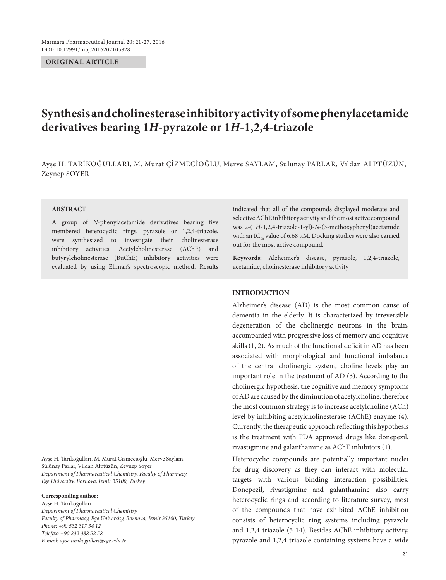**ORIGINAL ARTICLE**

# **Synthesis and cholinesterase inhibitory activity of some phenylacetamide derivatives bearing 1***H***-pyrazole or 1***H***-1,2,4-triazole**

Ayşe H. Tarikoğulları, M. Murat Çizmecioğlu, Merve Saylam, Sülünay Parlar, Vildan Alptüzün, Zeynep SOYER

#### **ABSTRACT**

A group of *N*-phenylacetamide derivatives bearing five membered heterocyclic rings, pyrazole or 1,2,4-triazole, were synthesized to investigate their cholinesterase inhibitory activities. Acetylcholinesterase (AChE) and butyrylcholinesterase (BuChE) inhibitory activities were evaluated by using Ellman's spectroscopic method. Results

Ayşe H. Tarikoğulları, M. Murat Çizmecioğlu, Merve Saylam, Sülünay Parlar, Vildan Alptüzün, Zeynep Soyer *Department of Pharmaceutical Chemistry, Faculty of Pharmacy, Ege University, Bornova, Izmir 35100, Turkey*

#### **Corresponding author:**

Ayşe H. Tarikoğulları *Department of Pharmaceutical Chemistry Faculty of Pharmacy, Ege University, Bornova, Izmir 35100, Turkey Phone: +90 532 317 34 12 Telefax: +90 232 388 52 58 E-mail: ayse.tarikogullari@ege.edu.tr*

indicated that all of the compounds displayed moderate and selective AChE inhibitory activity and the most active compound was 2-(1*H*-1,2,4-triazole-1-yl)-*N*-(3-methoxyphenyl)acetamide with an  $IC_{50}$  value of 6.68 µM. Docking studies were also carried out for the most active compound.

**Keywords:** Alzheimer's disease, pyrazole, 1,2,4-triazole, acetamide, cholinesterase inhibitory activity

# **INTRODUCTION**

Alzheimer's disease (AD) is the most common cause of dementia in the elderly. It is characterized by irreversible degeneration of the cholinergic neurons in the brain, accompanied with progressive loss of memory and cognitive skills (1, 2). As much of the functional deficit in AD has been associated with morphological and functional imbalance of the central cholinergic system, choline levels play an important role in the treatment of AD (3). According to the cholinergic hypothesis, the cognitive and memory symptoms of AD are caused by the diminution of acetylcholine, therefore the most common strategy is to increase acetylcholine (ACh) level by inhibiting acetylcholinesterase (AChE) enzyme (4). Currently, the therapeutic approach reflecting this hypothesis is the treatment with FDA approved drugs like donepezil, rivastigmine and galanthamine as AChE inhibitors (1).

Heterocyclic compounds are potentially important nuclei for drug discovery as they can interact with molecular targets with various binding interaction possibilities. Donepezil, rivastigmine and galanthamine also carry heterocyclic rings and according to literature survey, most of the compounds that have exhibited AChE inhibition consists of heterocyclic ring systems including pyrazole and 1,2,4-triazole (5-14). Besides AChE inhibitory activity, pyrazole and 1,2,4-triazole containing systems have a wide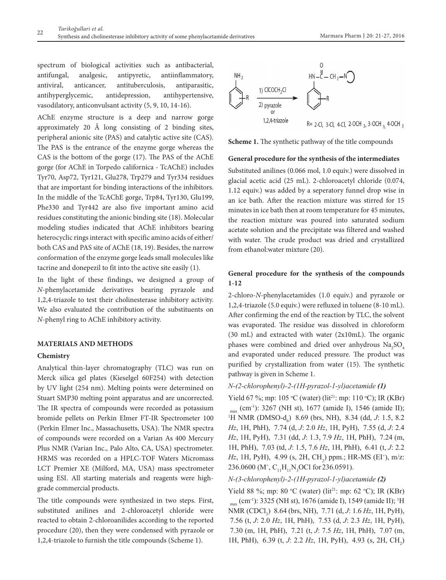spectrum of biological activities such as antibacterial, antifungal, analgesic, antipyretic, antiinflammatory, antiviral, anticancer, antituberculosis, antiparasitic, antihyperglycemic, antidepression, antihypertensive, vasodilatory, anticonvulsant activity (5, 9, 10, 14-16).

AChE enzyme structure is a deep and narrow gorge approximately 20 Å long consisting of 2 binding sites, peripheral anionic site (PAS) and catalytic active site (CAS). The PAS is the entrance of the enzyme gorge whereas the CAS is the bottom of the gorge (17). The PAS of the AChE gorge (for AChE in Torpedo californica - TcAChE) includes Tyr70, Asp72, Tyr121, Glu278, Trp279 and Tyr334 residues that are important for binding interactions of the inhibitors. In the middle of the TcAChE gorge, Trp84, Tyr130, Glu199, Phe330 and Tyr442 are also five important amino acid residues constituting the anionic binding site (18). Molecular modeling studies indicated that AChE inhibitors bearing heterocyclic rings interact with specific amino acids of either/ both CAS and PAS site of AChE (18, 19). Besides, the narrow conformation of the enzyme gorge leads small molecules like tacrine and donepezil to fit into the active site easily (1).

In the light of these findings, we designed a group of *N*-phenylacetamide derivatives bearing pyrazole and 1,2,4-triazole to test their cholinesterase inhibitory activity. We also evaluated the contribution of the substituents on *N*-phenyl ring to AChE inhibitory activity.

#### **MATERIALS AND METHODS**

#### **Chemistry**

Analytical thin-layer chromatography (TLC) was run on Merck silica gel plates (Kieselgel 60F254) with detection by UV light (254 nm). Melting points were determined on Stuart SMP30 melting point apparatus and are uncorrected. The IR spectra of compounds were recorded as potassium bromide pellets on Perkin Elmer FT-IR Spectrometer 100 (Perkin Elmer Inc., Massachusetts, USA). The NMR spectra of compounds were recorded on a Varian As 400 Mercury Plus NMR (Varian Inc., Palo Alto, CA, USA) spectrometer. HRMS was recorded on a HPLC-TOF Waters Micromass LCT Premier XE (Milford, MA, USA) mass spectrometer using ESI. All starting materials and reagents were highgrade commercial products.

The title compounds were synthesized in two steps. First, substituted anilines and 2-chloroacetyl chloride were reacted to obtain 2-chloroanilides according to the reported procedure (20), then they were condensed with pyrazole or 1,2,4-triazole to furnish the title compounds (Scheme 1).



**Scheme 1.** The synthetic pathway of the title compounds

#### **General procedure for the synthesis of the intermediates**

Substituted anilines (0.066 mol, 1.0 equiv.) were dissolved in glacial acetic acid (25 mL). 2-chloroacetyl chloride (0.074, 1.12 equiv.) was added by a seperatory funnel drop wise in an ice bath. After the reaction mixture was stirred for 15 minutes in ice bath then at room temperature for 45 minutes, the reaction mixture was poured into saturated sodium acetate solution and the precipitate was filtered and washed with water. The crude product was dried and crystallized from ethanol:water mixture (20).

# **General procedure for the synthesis of the compounds 1-12**

2-chloro-*N-*phenylacetamides (1.0 equiv.) and pyrazole or 1,2,4-triazole (5.0 equiv.) were refluxed in toluene (8-10 mL). After confirming the end of the reaction by TLC, the solvent was evaporated. The residue was dissolved in chloroform (30 mL) and extracted with water (2x10mL). The organic phases were combined and dried over anhydrous  $\text{Na}_2\text{SO}_4$ and evaporated under reduced pressure. The product was purified by crystallization from water (15). The synthetic pathway is given in Scheme 1.

#### *N-(2-chlorophenyl)-2-(1H-pyrazol-1-yl)acetamide (1)*

Yield 67 %; mp: 105 °C (water) (lit<sup>21</sup>: mp: 110 °C); IR (KBr)

max (cm-1): 3267 (NH st), 1677 (amide I), 1546 (amide II); <sup>1</sup>H NMR (DMSO-d<sub>6</sub>) 8.69 (brs, NH), 8.34 (dd, *J*: 1.5, 8.2 *Hz*, 1H, PhH), 7.74 (d, *J*: 2.0 *Hz*, 1H, PyH), 7.55 (d, *J*: 2.4 *Hz*, 1H, PyH), 7.31 (dd, *J*: 1.3, 7.9 *Hz*, 1H, PhH), 7.24 (m, 1H, PhH), 7.03 (td, *J*: 1.5, 7.6 *Hz*, 1H, PhH), 6.41 (t, *J*: 2.2 *Hz*, 1H, PyH), 4.99 (s, 2H, CH<sub>2</sub>) ppm.; HR-MS (EI<sup>+</sup>), m/z: 236.0600 (M<sup>+</sup>, C<sub>11</sub>H<sub>11</sub>N<sub>3</sub>OCl for 236.0591).

### *N-(3-chlorophenyl)-2-(1H-pyrazol-1-yl)acetamide (2)*

Yield 88 %; mp: 80 °C (water) (lit<sup>21</sup>: mp: 62 °C); IR (KBr) max (cm-1): 3325 (NH st), 1676 (amide I), 1549 (amide II); <sup>1</sup> H NMR (CDCl<sub>3</sub>) 8.64 (brs, NH), 7.71 (d, *J*: 1.6 *Hz*, 1H, PyH), 7.56 (t, *J*: 2.0 *Hz*, 1H, PhH), 7.53 (d, *J*: 2.3 *Hz*, 1H, PyH), 7.30 (m, 1H, PhH), 7.21 (t, *J*: 7.5 *Hz*, 1H, PhH), 7.07 (m, 1H, PhH), 6.39 (t, *J*: 2.2 *Hz*, 1H, PyH), 4.93 (s, 2H, CH<sub>2</sub>)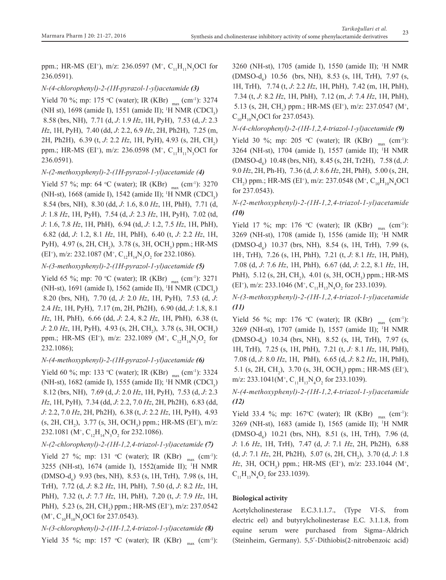ppm.; HR-MS (EI<sup>+</sup>), m/z: 236.0597 (M<sup>+</sup>, C<sub>11</sub>H<sub>11</sub>N<sub>3</sub>OCl for 236.0591).

# *N-(4-chlorophenyl)-2-(1H-pyrazol-1-yl)acetamide (3)*

Yield 70 %; mp: 175 °C (water); IR (KBr)  $_{\text{max}}$  (cm<sup>-1</sup>): 3274 (NH st), 1698 (amide I), 1551 (amide II); <sup>1</sup>H NMR (CDCl<sub>3</sub>) 8.58 (brs, NH), 7.71 (d, *J*: 1.9 *Hz*, 1H, PyH), 7.53 (d, *J*: 2.3 *Hz*, 1H, PyH), 7.40 (dd, *J*: 2.2, 6.9 *Hz*, 2H, Ph2H), 7.25 (m, 2H, Ph2H), 6.39 (t, *J*: 2.2 *Hz*, 1H, PyH), 4.93 (s, 2H, CH<sub>2</sub>) ppm.; HR-MS (EI<sup>+</sup>), m/z: 236.0598 (M<sup>+</sup>, C<sub>11</sub>H<sub>11</sub>N<sub>3</sub>OCl for 236.0591).

## *N-(2-methoxyphenyl)-2-(1H-pyrazol-1-yl)acetamide (4)*

Yield 57 %; mp: 64 °C (water); IR (KBr)  $_{\text{max}}$  (cm<sup>-1</sup>): 3270 (NH-st), 1668 (amide I), 1542 (amide II); <sup>1</sup>H NMR (CDCl<sub>3</sub>) 8.54 (brs, NH), 8.30 (dd, *J*: 1.6, 8.0 *Hz*, 1H, PhH), 7.71 (d, *J*: 1.8 *Hz*, 1H, PyH), 7.54 (d, *J*: 2.3 *Hz*, 1H, PyH), 7.02 (td, *J*: 1.6, 7.8 *Hz*, 1H, PhH), 6.94 (td, *J*: 1.2, 7.5 *Hz*, 1H, PhH), 6.82 (dd, *J*: 1.2, 8.1 *Hz*, 1H, PhH), 6.40 (t, *J*: 2.2 *Hz*, 1H, PyH), 4.97 (s, 2H, CH<sub>2</sub>), 3.78 (s, 3H, OCH<sub>3</sub>) ppm.; HR-MS (EI<sup>+</sup>), m/z: 232.1087 (M<sup>+</sup>, C<sub>12</sub>H<sub>14</sub>N<sub>3</sub>O<sub>2</sub> for 232.1086).

## *N-(3-methoxyphenyl)-2-(1H-pyrazol-1-yl)acetamide (5)*

Yield 65 %; mp: 70 °C (water); IR (KBr)  $_{\text{max}}$  (cm<sup>-1</sup>): 3271 (NH-st), 1691 (amide I), 1562 (amide II), <sup>1</sup>H NMR (CDCl<sub>3</sub>) 8.20 (brs, NH), 7.70 (d, *J*: 2.0 *Hz*, 1H, PyH), 7.53 (d, *J*: 2.4 *Hz*, 1H, PyH), 7.17 (m, 2H, Ph2H), 6.90 (dd, *J*: 1.8, 8.1 *Hz*, 1H, PhH), 6.66 (dd, *J*: 2.4, 8.2 *Hz*, 1H, PhH), 6.38 (t, *J*: 2.0 *Hz*, 1H, PyH), 4.93 (s, 2H, CH<sub>2</sub>), 3.78 (s, 3H, OCH<sub>3</sub>) ppm.; HR-MS (EI<sup>+</sup>), m/z: 232.1089 (M<sup>+</sup>, C<sub>12</sub>H<sub>14</sub>N<sub>3</sub>O<sub>2</sub> for 232.1086);

# *N-(4-methoxyphenyl)-2-(1H-pyrazol-1-yl)acetamide (6)*

Yield 60 %; mp: 133 °C (water); IR (KBr)  $_{\text{max}}$  (cm<sup>-1</sup>): 3324 (NH-st), 1682 (amide I), 1555 (amide II); <sup>1</sup>H NMR (CDCl<sub>3</sub>) 8.12 (brs, NH), 7.69 (d, *J*: 2.0 *Hz*, 1H, PyH), 7.53 (d, *J*: 2.3 *Hz*, 1H, PyH), 7.34 (dd, *J*: 2.2, 7.0 *Hz*, 2H, Ph2H), 6.83 (dd, *J*: 2.2, 7.0 *Hz*, 2H, Ph2H), 6.38 (t, *J*: 2.2 *Hz*, 1H, PyH), 4.93  $(s, 2H, CH<sub>2</sub>)$ , 3.77  $(s, 3H, OCH<sub>3</sub>)$  ppm.; HR-MS  $(EI<sup>+</sup>)$ , m/z: 232.1081 (M<sup>+</sup>, C<sub>12</sub>H<sub>14</sub>N<sub>3</sub>O<sub>2</sub> for 232.1086).

# *N-(2-chlorophenyl)-2-(1H-1,2,4-triazol-1-yl)acetamide (7)*

Yield 27 %; mp: 131 °C (water); IR (KBr)  $_{\text{max}}$  (cm<sup>-1</sup>): 3255 (NH-st), 1674 (amide I), 1552(amide II); 1 H NMR (DMSO-d<sub>6</sub>) 9.93 (brs, NH), 8.53 (s, 1H, TrH), 7.98 (s, 1H, TrH), 7.72 (d, *J*: 8.2 *Hz*, 1H, PhH), 7.50 (d, *J*: 8.2 *Hz*, 1H, PhH), 7.32 (t, *J*: 7.7 *Hz*, 1H, PhH), 7.20 (t, *J*: 7.9 *Hz*, 1H, PhH), 5.23 (s, 2H, CH<sub>2</sub>) ppm.; HR-MS (EI<sup>+</sup>), m/z: 237.0542  $(M^{\dagger}, C_{10}H_{10}N_{4}OCl$  for 237.0543).

*N-(3-chlorophenyl)-2-(1H-1,2,4-triazol-1-yl)acetamide (8)* Yield 35 %; mp: 157 °C (water); IR (KBr)  $_{\text{max}}$  (cm<sup>-1</sup>):

3260 (NH-st), 1705 (amide I), 1550 (amide II); 1 H NMR (DMSO-d<sub>6</sub>) 10.56 (brs, NH), 8.53 (s, 1H, TrH), 7.97 (s, 1H, TrH), 7.74 (t, *J*: 2.2 *Hz*, 1H, PhH), 7.42 (m, 1H, PhH), 7.34 (t, *J*: 8.2 *Hz*, 1H, PhH), 7.12 (m, *J*: 7.4 *Hz*, 1H, PhH), 5.13 (s, 2H, CH<sub>2</sub>) ppm.; HR-MS (EI<sup>+</sup>), m/z: 237.0547 (M<sup>+</sup>,  $C_{10}H_{10}N_4$ OCl for 237.0543).

### *N-(4-chlorophenyl)-2-(1H-1,2,4-triazol-1-yl)acetamide (9)*

Yield 30 %; mp: 205 °C (water); IR (KBr)  $_{\text{max}}$  (cm<sup>-1</sup>): 3264 (NH-st), 1704 (amide I), 1557 (amide II); 1 H NMR (DMSO-d6 ) 10.48 (brs, NH), 8.45 (s, 2H, Tr2H), 7.58 (d, *J*: 9.0 *Hz*, 2H, Ph-H), 7.36 (d, *J*: 8.6 *Hz*, 2H, PhH), 5.00 (s, 2H, CH<sub>2</sub>) ppm.; HR-MS (EI<sup>+</sup>), m/z: 237.0548 (M<sup>+</sup>, C<sub>10</sub>H<sub>10</sub>N<sub>4</sub>OCl for 237.0543).

# *N-(2-methoxyphenyl)-2-(1H-1,2,4-triazol-1-yl)acetamide (10)*

Yield 17 %; mp: 176 °C (water); IR (KBr)  $_{\text{max}}$  (cm<sup>-1</sup>): 3269 (NH-st), 1708 (amide I), 1556 (amide II); <sup>1</sup> H NMR (DMSO-d<sub>6</sub>) 10.37 (brs, NH), 8.54 (s, 1H, TrH), 7.99 (s, 1H, , TrH), 7.26 (s, 1H, PhH), 7.21 (t, *J*: 8.1 *Hz*, 1H, PhH), 7.08 (d, *J*: 7.6 *Hz*, 1H, PhH), 6.67 (dd, *J*: 2.2, 8.1 *Hz*, 1H, PhH), 5.12 (s, 2H, CH<sub>2</sub>), 4.01 (s, 3H, OCH<sub>3</sub>) ppm.; HR-MS (EI<sup>+</sup>), m/z: 233.1046 (M<sup>+</sup>, C<sub>11</sub>H<sub>13</sub>N<sub>4</sub>O<sub>2</sub> for 233.1039).

*N-(3-methoxyphenyl)-2-(1H-1,2,4-triazol-1-yl)acetamide (11)*

Yield 56 %; mp: 176 °C (water); IR (KBr)  $_{\text{max}}$  (cm<sup>-1</sup>): 3269 (NH-st), 1707 (amide I), 1557 (amide II); <sup>1</sup> H NMR (DMSO-d<sub>6</sub>) 10.34 (brs, NH), 8.52 (s, 1H, TrH), 7.97 (s, 1H, TrH), 7.25 (s, 1H, PhH), 7.21 (t, *J:* 8.1 *Hz*, 1H, PhH), 7.08 (d, *J*: 8.0 *Hz*, 1H, PhH), 6.65 (d, *J*: 8.2 *Hz*, 1H, PhH), 5.1 (s, 2H, CH<sub>2</sub>), 3.70 (s, 3H, OCH<sub>3</sub>) ppm.; HR-MS (EI<sup>+</sup>), m/z: 233.1041(M<sup>+</sup>, C<sub>11</sub>H<sub>13</sub>N<sub>4</sub>O<sub>2</sub> for 233.1039).

# *N-(4-methoxyphenyl)-2-(1H-1,2,4-triazol-1-yl)acetamide (12)*

Yield 33.4 %; mp:  $167^{\circ}$ C (water); IR (KBr)  $_{\text{max}}$  (cm<sup>-1</sup>): 3269 (NH-st), 1683 (amide I), 1565 (amide II); <sup>1</sup> H NMR (DMSO-d<sub>6</sub>) 10.21 (brs, NH), 8.51 (s, 1H, TrH), 7.96 (d, *J*: 1.6 *Hz*, 1H, TrH), 7.47 (d, *J*: 7.1 *Hz*, 2H, Ph2H), 6.88 (d, *J*: 7.1 *Hz*, 2H, Ph2H), 5.07 (s, 2H, CH<sub>2</sub>), 3.70 (d, *J*: 1.8 *Hz*, 3H, OCH<sub>3</sub>) ppm.; HR-MS (EI<sup>+</sup>), m/z: 233.1044 (M<sup>+</sup>,  $C_{11}H_{13}N_4O_2$  for 233.1039).

# **Biological activity**

Acetylcholinesterase E.C.3.1.1.7., (Type VI-S, from electric eel) and butyrylcholinesterase E.C. 3.1.1.8, from equine serum were purchased from Sigma–Aldrich (Steinheim, Germany). 5,5′-Dithiobis(2-nitrobenzoic acid)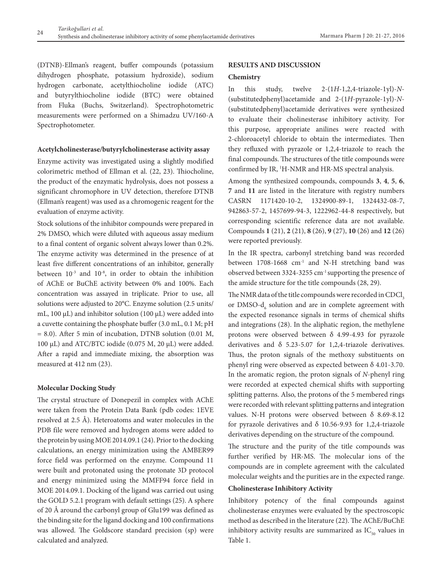(DTNB)-Ellman's reagent, buffer compounds (potassium dihydrogen phosphate, potassium hydroxide), sodium hydrogen carbonate, acetylthiocholine iodide (ATC) and butyrylthiocholine iodide (BTC) were obtained from Fluka (Buchs, Switzerland). Spectrophotometric measurements were performed on a Shimadzu UV/160-A Spectrophotometer.

#### **Acetylcholinesterase/butyrylcholinesterase activity assay**

Enzyme activity was investigated using a slightly modified colorimetric method of Ellman et al. (22, 23). Thiocholine, the product of the enzymatic hydrolysis, does not possess a significant chromophore in UV detection, therefore DTNB (Ellman's reagent) was used as a chromogenic reagent for the evaluation of enzyme activity.

Stock solutions of the inhibitor compounds were prepared in 2% DMSO, which were diluted with aqueous assay medium to a final content of organic solvent always lower than 0.2%. The enzyme activity was determined in the presence of at least five different concentrations of an inhibitor, generally between  $10^{-3}$  and  $10^{-8}$ , in order to obtain the inhibition of AChE or BuChE activity between 0% and 100%. Each concentration was assayed in triplicate. Prior to use, all solutions were adjusted to 20°C. Enzyme solution (2.5 units/ mL, 100  $\mu$ L) and inhibitor solution (100  $\mu$ L) were added into a cuvette containing the phosphate buffer (3.0 mL, 0.1 M; pH = 8.0). After 5 min of incubation, DTNB solution (0.01 M, 100 µL) and ATC/BTC iodide (0.075 M, 20 µL) were added. After a rapid and immediate mixing, the absorption was measured at 412 nm (23).

#### **Molecular Docking Study**

The crystal structure of Donepezil in complex with AChE were taken from the Protein Data Bank (pdb codes: 1EVE resolved at 2.5 Å). Heteroatoms and water molecules in the PDB file were removed and hydrogen atoms were added to the protein by using MOE 2014.09.1 (24). Prior to the docking calculations, an energy minimization using the AMBER99 force field was performed on the enzyme. Compound 11 were built and protonated using the protonate 3D protocol and energy minimized using the MMFF94 force field in MOE 2014.09.1. Docking of the ligand was carried out using the GOLD 5.2.1 program with default settings (25). A sphere of 20 Å around the carbonyl group of Glu199 was defined as the binding site for the ligand docking and 100 confirmations was allowed. The Goldscore standard precision (sp) were calculated and analyzed.

## **RESULTS AND DISCUSSION**

#### **Chemistry**

In this study, twelve 2-(1*H*-1,2,4-triazole-1yl)-*N*- (substitutedphenyl)acetamide and 2-(1*H*-pyrazole-1yl)-*N*- (substitutedphenyl)acetamide derivatives were synthesized to evaluate their cholinesterase inhibitory activity. For this purpose, appropriate anilines were reacted with 2-chloroacetyl chloride to obtain the intermediates. Then they refluxed with pyrazole or 1,2,4-triazole to reach the final compounds. The structures of the title compounds were confirmed by IR, <sup>1</sup>H-NMR and HR-MS spectral analysis.

Among the synthesized compounds, compounds **3**, **4**, **5**, **6**, **7** and **11** are listed in the literature with registry numbers CASRN 1171420-10-2, 1324900-89-1, 1324432-08-7, 942863-57-2, 1457699-94-3, 1222962-44-8 respectively, but corresponding scientific reference data are not available. Compounds **1** (21), **2** (21), **8** (26), **9** (27), **10** (26) and **12** (26) were reported previously.

In the IR spectra, carbonyl stretching band was recorded between 1708-1668 cm<sup>-1</sup> and N-H stretching band was observed between 3324-3255 cm-1 supporting the presence of the amide structure for the title compounds (28, 29).

The NMR data of the title compounds were recorded in  $\mathrm{CDCl}_{_3}$ or DMSO- $d_6$  solution and are in complete agreement with the expected resonance signals in terms of chemical shifts and integrations (28). In the aliphatic region, the methylene protons were observed between  $\delta$  4.99-4.93 for pyrazole derivatives and δ 5.23-5.07 for 1,2,4-triazole derivatives. Thus, the proton signals of the methoxy substituents on phenyl ring were observed as expected between δ 4.01-3.70. In the aromatic region, the proton signals of *N*-phenyl ring were recorded at expected chemical shifts with supporting splitting patterns. Also, the protons of the 5 membered rings were recorded with relevant splitting patterns and integration values. N-H protons were observed between δ 8.69-8.12 for pyrazole derivatives and  $\delta$  10.56-9.93 for 1,2,4-triazole derivatives depending on the structure of the compound.

The structure and the purity of the title compounds was further verified by HR-MS. The molecular ions of the compounds are in complete agreement with the calculated molecular weights and the purities are in the expected range.

## **Cholinesterase Inhibitory Activity**

Inhibitory potency of the final compounds against cholinesterase enzymes were evaluated by the spectroscopic method as described in the literature (22). The AChE/BuChE inhibitory activity results are summarized as  $IC_{50}$  values in Table 1.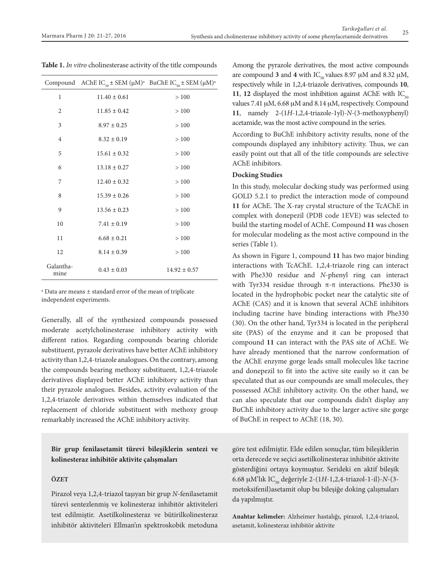|  |  | Table 1. In vitro cholinesterase activity of the title compounds |
|--|--|------------------------------------------------------------------|
|  |  |                                                                  |

|                   | Compound AChE IC <sub>50</sub> ± SEM ( $\mu$ M) <sup>a</sup> BuChE IC <sub>50</sub> ± SEM ( $\mu$ M) <sup>a</sup> |                  |
|-------------------|-------------------------------------------------------------------------------------------------------------------|------------------|
| 1                 | $11.40 \pm 0.61$                                                                                                  | >100             |
| 2                 | $11.85 \pm 0.42$                                                                                                  | >100             |
| 3                 | $8.97 \pm 0.25$                                                                                                   | >100             |
| 4                 | $8.32 \pm 0.19$                                                                                                   | >100             |
| 5                 | $15.61 \pm 0.32$                                                                                                  | >100             |
| 6                 | $13.18 \pm 0.27$                                                                                                  | >100             |
| 7                 | $12.40 \pm 0.32$                                                                                                  | >100             |
| 8                 | $15.39 \pm 0.26$                                                                                                  | $>100\,$         |
| 9                 | $13.56 \pm 0.23$                                                                                                  | >100             |
| 10                | $7.41 \pm 0.19$                                                                                                   | >100             |
| 11                | $6.68 \pm 0.21$                                                                                                   | >100             |
| 12                | $8.14 \pm 0.39$                                                                                                   | >100             |
| Galantha-<br>mine | $0.43 \pm 0.03$                                                                                                   | $14.92 \pm 0.57$ |

a Data are means ± standard error of the mean of triplicate independent experiments.

Generally, all of the synthesized compounds possessed moderate acetylcholinesterase inhibitory activity with different ratios. Regarding compounds bearing chloride substituent, pyrazole derivatives have better AChE inhibitory activity than 1,2,4-triazole analogues. On the contrary, among the compounds bearing methoxy substituent, 1,2,4-triazole derivatives displayed better AChE inhibitory activity than their pyrazole analogues. Besides, activity evaluation of the 1,2,4-triazole derivatives within themselves indicated that replacement of chloride substituent with methoxy group remarkably increased the AChE inhibitory activity.

# **Bir grup fenilasetamit türevi bileşiklerin sentezi ve kolinesteraz inhibitör aktivite çalışmaları**

#### **ÖZET**

Pirazol veya 1,2,4-triazol taşıyan bir grup *N*-fenilasetamit türevi sentezlenmiş ve kolinesteraz inhibitör aktiviteleri test edilmiştir. Asetilkolinesteraz ve bütirilkolinesteraz inhibitör aktiviteleri Ellman'ın spektroskobik metoduna Among the pyrazole derivatives, the most active compounds are compound **3** and **4** with IC<sub>50</sub> values 8.97  $\mu$ M and 8.32  $\mu$ M, respectively while in 1,2,4-triazole derivatives, compounds **10**, **11**, **12** displayed the most inhibition against AChE with  $IC_{50}$ values 7.41 µM, 6.68 µM and 8.14 µM, respectively. Compound **11**, namely 2-(1*H*-1,2,4-triazole-1yl)-*N*-(3-methoxyphenyl) acetamide, was the most active compound in the series.

According to BuChE inhibitory activity results, none of the compounds displayed any inhibitory activity. Thus, we can easily point out that all of the title compounds are selective AChE inhibitors.

#### **Docking Studies**

In this study, molecular docking study was performed using GOLD 5.2.1 to predict the interaction mode of compound **11** for AChE. The X-ray crystal structure of the TcAChE in complex with donepezil (PDB code 1EVE) was selected to build the starting model of AChE. Compound **11** was chosen for molecular modeling as the most active compound in the series (Table 1).

As shown in Figure 1, compound **11** has two major binding interactions with TcAChE. 1,2,4-triazole ring can interact with Phe330 residue and *N*-phenyl ring can interact with Tyr334 residue through  $\pi$ - $\pi$  interactions. Phe330 is located in the hydrophobic pocket near the catalytic site of AChE (CAS) and it is known that several AChE inhibitors including tacrine have binding interactions with Phe330 (30). On the other hand, Tyr334 is located in the peripheral site (PAS) of the enzyme and it can be proposed that compound **11** can interact with the PAS site of AChE. We have already mentioned that the narrow conformation of the AChE enzyme gorge leads small molecules like tacrine and donepezil to fit into the active site easily so it can be speculated that as our compounds are small molecules, they possessed AChE inhibitory activity. On the other hand, we can also speculate that our compounds didn't display any BuChE inhibitory activity due to the larger active site gorge of BuChE in respect to AChE (18, 30).

göre test edilmiştir. Elde edilen sonuçlar, tüm bileşiklerin orta derecede ve seçici asetilkolinesteraz inhibitör aktivite gösterdiğini ortaya koymuştur. Serideki en aktif bileşik 6.68 mM'lık IC50 değeriyle 2-(1*H*-1,2,4-triazol-1-il)-*N*-(3 metoksifenil)asetamit olup bu bileşiğe doking çalışmaları da yapılmıştır.

**Anahtar kelimeler:** Alzheimer hastalığı, pirazol, 1,2,4-triazol, asetamit, kolinesteraz inhibitör aktivite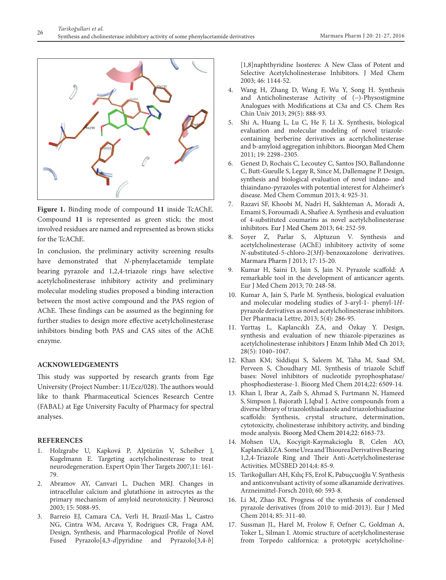

**Figure 1.** Binding mode of compound **11** inside TcAChE. Compound **11** is represented as green stick; the most involved residues are named and represented as brown sticks for the TcAChE.

In conclusion, the preliminary activity screening results have demonstrated that *N*-phenylacetamide template bearing pyrazole and 1,2,4-triazole rings have selective acetylcholinesterase inhibitory activity and preliminary molecular modeling studies proposed a binding interaction between the most active compound and the PAS region of AChE. These findings can be assumed as the beginning for further studies to design more effective acetylcholinesterase inhibitors binding both PAS and CAS sites of the AChE enzyme.

#### **ACKNOWLEDGEMENTS**

This study was supported by research grants from Ege University (Project Number: 11/Ecz/028). The authors would like to thank Pharmaceutical Sciences Research Centre (FABAL) at Ege University Faculty of Pharmacy for spectral analyses.

#### **References**

- 1. Holzgrabe U, Kapková P, Alptüzün V, Scheiber J, Kugelmann E. Targeting acetylcholinesterase to treat neurodegeneration. Expert Opin Ther Targets 2007;11: 161- 79.
- 2. Abramov AY, Canvari L, Duchen MRJ. Changes in intracellular calcium and glutathione in astrocytes as the primary mechanism of amyloid neurotoxicity. J Neurosci 2003; 15: 5088-95.
- 3. Barreio EJ, Camara CA, Verli H, Brazil-Mas L, Castro NG, Cintra WM, Arcava Y, Rodrigues CR, Fraga AM, Design, Synthesis, and Pharmacological Profile of Novel Fused Pyrazolo[4,3-*d*]pyridine and Pyrazolo[3,4-*b*]

[1,8]naphthyridine Isosteres: A New Class of Potent and Selective Acetylcholinesterase Inhibitors. J Med Chem 2003; 46: 1144-52.

- 4. Wang H, Zhang D, Wang F, Wu Y, Song H. Synthesis and Anticholinesterase Activity of (−)-Physostigmine Analogues with Modifications at C3*a* and C5. Chem Res Chin Univ 2013; 29(5): 888-93.
- 5. Shi A, Huang L, Lu C, He F, Li X. Synthesis, biological evaluation and molecular modeling of novel triazolecontaining berberine derivatives as acetylcholinesterase and b-amyloid aggregation inhibitors. Bioorgan Med Chem 2011; 19: 2298–2305.
- 6. Genest D, Rochais C, Lecoutey C, Santos JSO, Ballandonne C, Butt-Gueulle S, Legay R, Since M, Dallemagne P. Design, synthesis and biological evaluation of novel indano- and thiaindano-pyrazoles with potential interest for Alzheimer's disease. Med Chem Commun 2013; 4: 925-31.
- 7. Razavi SF, Khoobi M, Nadri H, Sakhteman A, Moradi A, Emami S, Foroumadi A, Shafiee A. Synthesis and evaluation of 4-substituted coumarins as novel acetylcholinesterase inhibitors*.* Eur J Med Chem 2013; 64: 252-59.
- 8. Soyer Z, Parlar S, Alptuzun V. Synthesis and acetylcholinesterase (AChE) inhibitory activity of some *N*-substituted-5-chloro-2(3*H*)-benzoxazolone derivatives. Marmara Pharm J 2013; 17: 15-20.
- 9. Kumar H, Saini D, Jain S, Jain N. Pyrazole scaffold: A remarkable tool in the development of anticancer agents. Eur J Med Chem 2013; 70: 248-58.
- 10. Kumar A, Jain S, Parle M. Synthesis, biological evaluation and molecular modeling studies of 3-aryl-1- phenyl-1*H*pyrazole derivatives as novel acetylcholinesterase inhibitors. Der Pharmacia Lettre, 2013; 5(4): 286-95.
- 11. Yurttaş L, Kaplancıklı ZA, and Özkay Y. Design, synthesis and evaluation of new thiazole-piperazines as acetylcholinesterase inhibitors J Enzm Inhib Med Ch 2013; 28(5): 1040–1047.
- 12. Khan KM; Siddiqui S, Saleem M, Taha M, Saad SM, Perveen S, Choudhary MI. Synthesis of triazole Schiff bases: Novel inhibitors of nucleotide pyrophosphatase/ phosphodiesterase-1. Bioorg Med Chem 2014;22: 6509-14.
- 13. Khan I, Ibrar A, Zaib S, Ahmad S, Furtmann N, Hameed S, Simpson J, Bajorath J, Iqbal J. Active compounds from a diverse library of triazolothiadiazole and triazolothiadiazine scaffolds: Synthesis, crystal structure, determination, cytotoxicity, cholinesterase inhibitory activity, and binding mode analysis. Bioorg Med Chem 2014;22: 6163-73.
- 14. Mohsen UA, Kocyigit-Kaymakcioglu B, Celen AO, Kaplancikli ZA. Some Urea and Thiourea Derivatives Bearing 1,2,4-Triazole Ring and Their Anti-Acetylcholinesterase Activities. MÜSBED 2014;4: 85-9.
- 15. Tarikoğulları AH, Kılıç FS, Erol K, Pabuçcuoğlu V. Synthesis and anticonvulsant activity of some alkanamide derivatives. Arzneimittel-Forsch 2010; 60: 593-8.
- 16. Li M, Zhao BX. Progress of the synthesis of condensed pyrazole derivatives (from 2010 to mid-2013). Eur J Med Chem 2014; 85: 311-40.
- 17. Sussman JL, Harel M, Frolow F, Oefner C, Goldman A, Toker L, Silman I. Atomic structure of acetylcholinesterase from Torpedo californica: a prototypic acetylcholine-